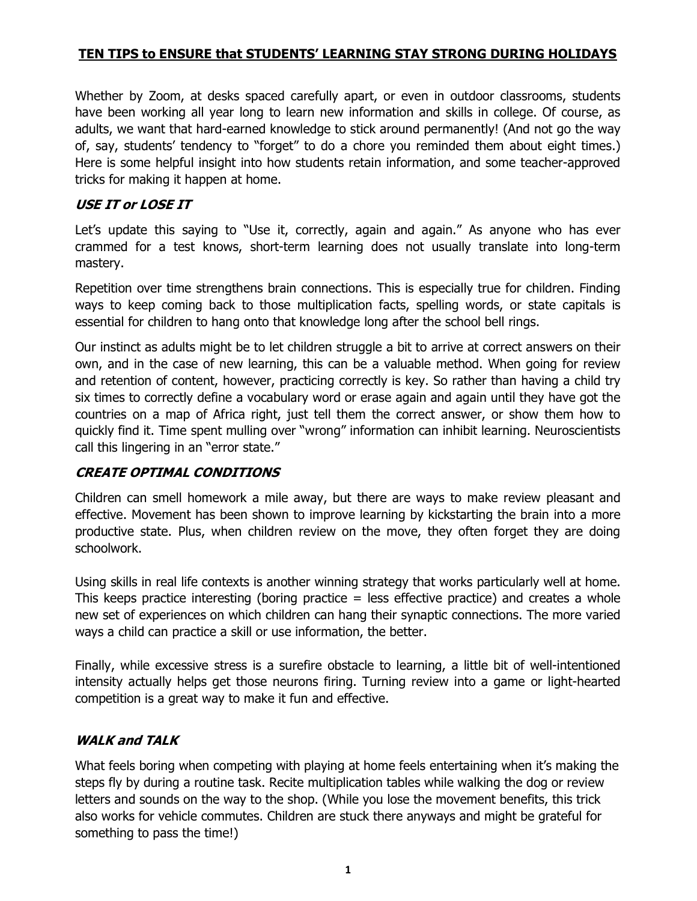### TEN TIPS to ENSURE that STUDENTS' LEARNING STAY STRONG DURING HOLIDAYS

Whether by Zoom, at desks spaced carefully apart, or even in outdoor classrooms, students have been working all year long to learn new information and skills in college. Of course, as adults, we want that hard-earned knowledge to stick around permanently! (And not go the way of, say, students' tendency to "forget" to do a chore you reminded them about eight times.) Here is some helpful insight into how students retain information, and some teacher-approved tricks for making it happen at home.

### USE IT or LOSE IT

Let's update this saying to "Use it, correctly, again and again." As anyone who has ever crammed for a test knows, short-term learning does not usually translate into long-term mastery.

Repetition over time strengthens brain connections. This is especially true for children. Finding ways to keep coming back to those multiplication facts, spelling words, or state capitals is essential for children to hang onto that knowledge long after the school bell rings.

Our instinct as adults might be to let children struggle a bit to arrive at correct answers on their own, and in the case of new learning, this can be a valuable method. When going for review and retention of content, however, practicing correctly is key. So rather than having a child try six times to correctly define a vocabulary word or erase again and again until they have got the countries on a map of Africa right, just tell them the correct answer, or show them how to quickly find it. Time spent mulling over "wrong" information can inhibit learning. Neuroscientists call this lingering in an "error state."

#### CREATE OPTIMAL CONDITIONS

Children can smell homework a mile away, but there are ways to make review pleasant and effective. Movement has been shown to improve learning by kickstarting the brain into a more productive state. Plus, when children review on the move, they often forget they are doing schoolwork.

Using skills in real life contexts is another winning strategy that works particularly well at home. This keeps practice interesting (boring practice = less effective practice) and creates a whole new set of experiences on which children can hang their synaptic connections. The more varied ways a child can practice a skill or use information, the better.

Finally, while excessive stress is a surefire obstacle to learning, a little bit of well-intentioned intensity actually helps get those neurons firing. Turning review into a game or light-hearted competition is a great way to make it fun and effective.

## WALK and TALK

What feels boring when competing with playing at home feels entertaining when it's making the steps fly by during a routine task. Recite multiplication tables while walking the dog or review letters and sounds on the way to the shop. (While you lose the movement benefits, this trick also works for vehicle commutes. Children are stuck there anyways and might be grateful for something to pass the time!)